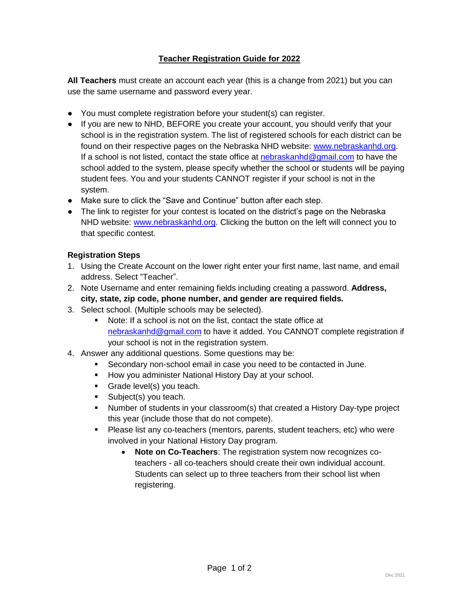## **Teacher Registration Guide for 2022**

**All Teachers** must create an account each year (this is a change from 2021) but you can use the same username and password every year.

- You must complete registration before your student(s) can register.
- If you are new to NHD, BEFORE you create your account, you should verify that your school is in the registration system. The list of registered schools for each district can be found on their respective pages on the Nebraska NHD website: [www.nebraskanhd.org.](http://www.nebraskanhd.org/) If a school is not listed, contact the state office at [nebraskanhd@gmail.com](mailto:nebraskanhd@gmail.com) to have the school added to the system, please specify whether the school or students will be paying student fees. You and your students CANNOT register if your school is not in the system.
- Make sure to click the "Save and Continue" button after each step.
- The link to register for your contest is located on the district's page on the Nebraska NHD website: [www.nebraskanhd.org.](http://www.nebraskanhd.org/) Clicking the button on the left will connect you to that specific contest.

## **Registration Steps**

- 1. Using the Create Account on the lower right enter your first name, last name, and email address. Select "Teacher".
- 2. Note Username and enter remaining fields including creating a password. **Address, city, state, zip code, phone number, and gender are required fields.**
- 3. Select school. (Multiple schools may be selected).
	- Note: If a school is not on the list, contact the state office at [nebraskanhd@gmail.com](mailto:nebraskanhd@gmail.com) to have it added. You CANNOT complete registration if your school is not in the registration system.
- 4. Answer any additional questions. Some questions may be:
	- Secondary non-school email in case you need to be contacted in June.
	- **How you administer National History Day at your school.**
	- Grade level(s) you teach.
	- Subject(s) you teach.
	- Number of students in your classroom(s) that created a History Day-type project this year (include those that do not compete).
	- Please list any co-teachers (mentors, parents, student teachers, etc) who were involved in your National History Day program.
		- **Note on Co-Teachers**: The registration system now recognizes coteachers - all co-teachers should create their own individual account. Students can select up to three teachers from their school list when registering.